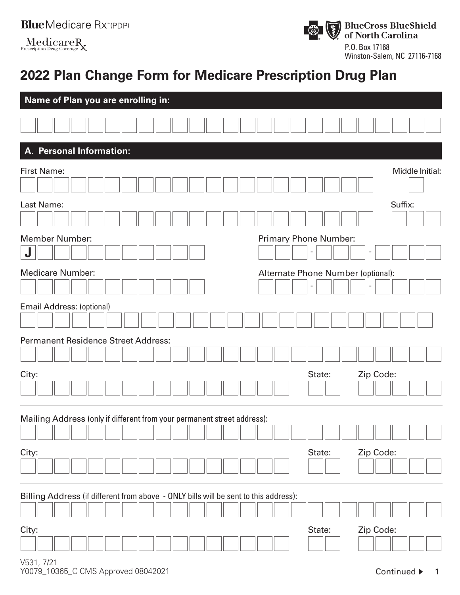| <b>Blue</b> Medicare Rx <sup>*</sup> (PDP) |  |
|--------------------------------------------|--|
| $M = 1$ ' $\ldots$                         |  |

 $MedicareR$ <br>Prescription Drug Coverage



Winston-Salem, NC 27116-7168

# **2022 Plan Change Form for Medicare Prescription Drug Plan**

| Name of Plan you are enrolling in:                                                   |                                    |  |  |  |  |
|--------------------------------------------------------------------------------------|------------------------------------|--|--|--|--|
|                                                                                      |                                    |  |  |  |  |
| <b>Personal Information:</b><br>Α.                                                   |                                    |  |  |  |  |
| <b>First Name:</b>                                                                   | Middle Initial:                    |  |  |  |  |
|                                                                                      |                                    |  |  |  |  |
| Last Name:                                                                           | Suffix:                            |  |  |  |  |
|                                                                                      |                                    |  |  |  |  |
| <b>Member Number:</b>                                                                | <b>Primary Phone Number:</b>       |  |  |  |  |
| J                                                                                    |                                    |  |  |  |  |
| <b>Medicare Number:</b>                                                              | Alternate Phone Number (optional): |  |  |  |  |
|                                                                                      |                                    |  |  |  |  |
| Email Address: (optional)                                                            |                                    |  |  |  |  |
|                                                                                      |                                    |  |  |  |  |
| <b>Permanent Residence Street Address:</b>                                           |                                    |  |  |  |  |
|                                                                                      |                                    |  |  |  |  |
| City:                                                                                | Zip Code:<br>State:                |  |  |  |  |
|                                                                                      |                                    |  |  |  |  |
|                                                                                      |                                    |  |  |  |  |
| Mailing Address (only if different from your permanent street address):              |                                    |  |  |  |  |
| City:                                                                                | Zip Code:<br>State:                |  |  |  |  |
|                                                                                      |                                    |  |  |  |  |
| Billing Address (if different from above - ONLY bills will be sent to this address): |                                    |  |  |  |  |
|                                                                                      |                                    |  |  |  |  |
| City:                                                                                | Zip Code:<br>State:                |  |  |  |  |
|                                                                                      |                                    |  |  |  |  |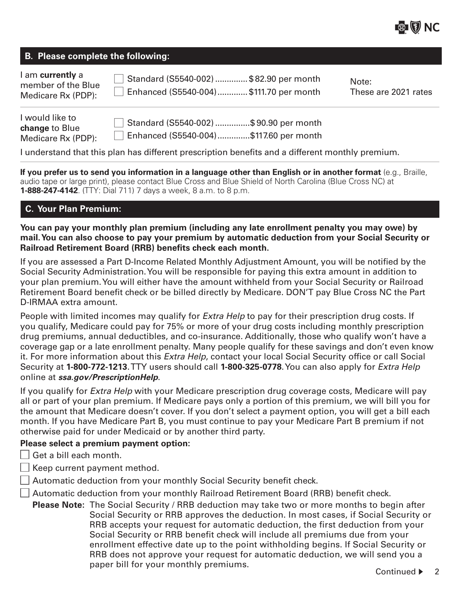#### **B. Please complete the following:**

| I am <b>currently</b> a<br>member of the Blue | Standard (S5540-002) \$82.90 per month | Note:                |
|-----------------------------------------------|----------------------------------------|----------------------|
| Medicare Rx (PDP):                            | Enhanced (S5540-004)\$111.70 per month | These are 2021 rates |

| I would like to       | Standard (S5540-002) \$90.90 per month |
|-----------------------|----------------------------------------|
| <b>change to Blue</b> |                                        |
| Medicare Rx (PDP):    | Enhanced (S5540-004)\$117.60 per month |

I understand that this plan has different prescription benefits and a different monthly premium.

**If you prefer us to send you information in a language other than English or in another format** (e.g., Braille, audio tape or large print), please contact Blue Cross and Blue Shield of North Carolina (Blue Cross NC) at **1-888-247-4142**. (TTY: Dial 711) 7 days a week, 8 a.m. to 8 p.m.

# **C. Your Plan Premium:**

**You can pay your monthly plan premium (including any late enrollment penalty you may owe) by mail. You can also choose to pay your premium by automatic deduction from your Social Security or Railroad Retirement Board (RRB) benefits check each month.**

If you are assessed a Part D-Income Related Monthly Adjustment Amount, you will be notified by the Social Security Administration. You will be responsible for paying this extra amount in addition to your plan premium. You will either have the amount withheld from your Social Security or Railroad Retirement Board benefit check or be billed directly by Medicare. DON'T pay Blue Cross NC the Part D-IRMAA extra amount.

People with limited incomes may qualify for *Extra Help* to pay for their prescription drug costs. If you qualify, Medicare could pay for 75% or more of your drug costs including monthly prescription drug premiums, annual deductibles, and co-insurance. Additionally, those who qualify won't have a coverage gap or a late enrollment penalty. Many people qualify for these savings and don't even know it. For more information about this *Extra Help*, contact your local Social Security office or call Social Security at **1-800-772-1213**. TTY users should call **1-800-325-0778**. You can also apply for *Extra Help* online at *ssa.gov/PrescriptionHelp*.

If you qualify for *Extra Help* with your Medicare prescription drug coverage costs, Medicare will pay all or part of your plan premium. If Medicare pays only a portion of this premium, we will bill you for the amount that Medicare doesn't cover. If you don't select a payment option, you will get a bill each month. If you have Medicare Part B, you must continue to pay your Medicare Part B premium if not otherwise paid for under Medicaid or by another third party.

## **Please select a premium payment option:**

 $\Box$  Get a bill each month.

 $\Box$  Keep current payment method.

 $\Box$  Automatic deduction from your monthly Social Security benefit check.

 $\Box$  Automatic deduction from your monthly Railroad Retirement Board (RRB) benefit check.

**Please Note:** The Social Security / RRB deduction may take two or more months to begin after Social Security or RRB approves the deduction. In most cases, if Social Security or RRB accepts your request for automatic deduction, the first deduction from your Social Security or RRB benefit check will include all premiums due from your enrollment effective date up to the point withholding begins. If Social Security or RRB does not approve your request for automatic deduction, we will send you a paper bill for your monthly premiums.<br>
Continued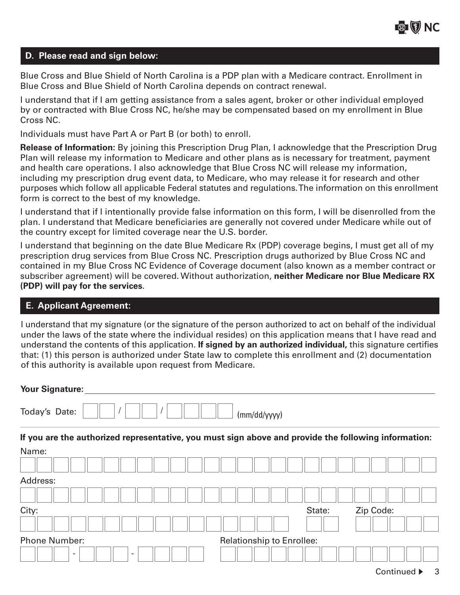#### **D. Please read and sign below:**

Blue Cross and Blue Shield of North Carolina is a PDP plan with a Medicare contract. Enrollment in Blue Cross and Blue Shield of North Carolina depends on contract renewal.

I understand that if I am getting assistance from a sales agent, broker or other individual employed by or contracted with Blue Cross NC, he/she may be compensated based on my enrollment in Blue Cross NC.

Individuals must have Part A or Part B (or both) to enroll.

**Release of Information:** By joining this Prescription Drug Plan, I acknowledge that the Prescription Drug Plan will release my information to Medicare and other plans as is necessary for treatment, payment and health care operations. I also acknowledge that Blue Cross NC will release my information, including my prescription drug event data, to Medicare, who may release it for research and other purposes which follow all applicable Federal statutes and regulations. The information on this enrollment form is correct to the best of my knowledge.

I understand that if I intentionally provide false information on this form, I will be disenrolled from the plan. I understand that Medicare beneficiaries are generally not covered under Medicare while out of the country except for limited coverage near the U.S. border.

I understand that beginning on the date Blue Medicare Rx (PDP) coverage begins, I must get all of my prescription drug services from Blue Cross NC. Prescription drugs authorized by Blue Cross NC and contained in my Blue Cross NC Evidence of Coverage document (also known as a member contract or subscriber agreement) will be covered. Without authorization, **neither Medicare nor Blue Medicare RX (PDP) will pay for the services** .

## **E. Applicant Agreement:**

I understand that my signature (or the signature of the person authorized to act on behalf of the individual under the laws of the state where the individual resides) on this application means that I have read and understand the contents of this application. **If signed by an authorized individual,** this signature certifies that: (1) this person is authorized under State law to complete this enrollment and (2) documentation of this authority is available upon request from Medicare.

| <b>Your Signature:</b>                               |                                                                                                      |
|------------------------------------------------------|------------------------------------------------------------------------------------------------------|
| Today's Date:                                        | (mm/dd/yyyy)                                                                                         |
|                                                      | If you are the authorized representative, you must sign above and provide the following information: |
| Name:                                                |                                                                                                      |
|                                                      |                                                                                                      |
| Address:                                             |                                                                                                      |
|                                                      |                                                                                                      |
| City:                                                | Zip Code:<br>State:                                                                                  |
|                                                      |                                                                                                      |
| <b>Phone Number:</b>                                 | <b>Relationship to Enrollee:</b>                                                                     |
| $\overline{\phantom{a}}$<br>$\overline{\phantom{a}}$ |                                                                                                      |